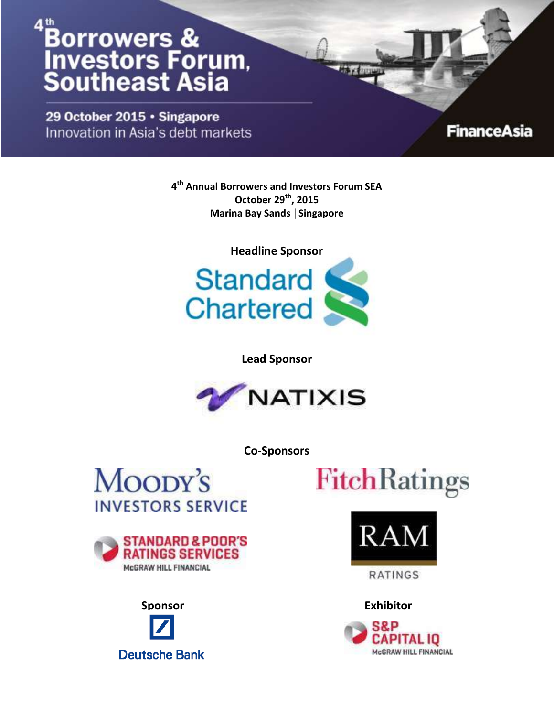29 October 2015 · Singapore Innovation in Asia's debt markets

### **FinanceAsia**

**4 th Annual Borrowers and Investors Forum SEA October 29th, 2015 Marina Bay Sands │Singapore**



**Lead Sponsor**



**Co-Sponsors**





**Sponsor ExhibitorDeutsche Bank** 





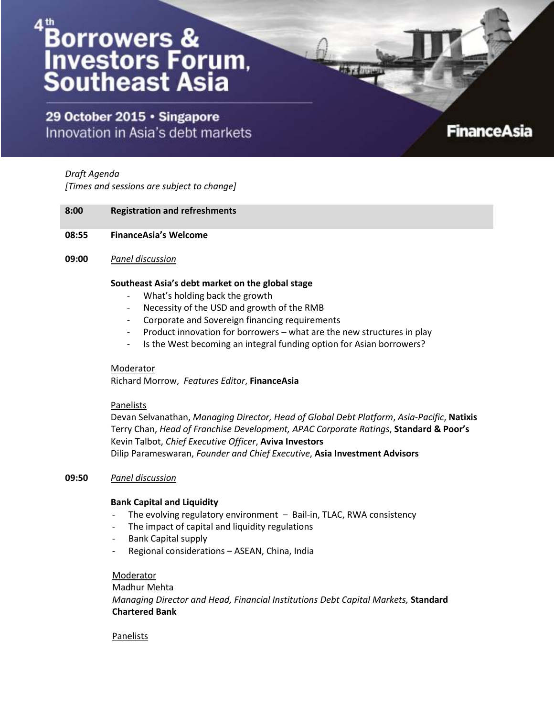29 October 2015 · Singapore Innovation in Asia's debt markets

### **FinanceAsia**

*Draft Agenda [Times and sessions are subject to change]*

#### **8:00 Registration and refreshments**

- **08:55 FinanceAsia's Welcome**
- **09:00** *Panel discussion*

#### **Southeast Asia's debt market on the global stage**

- What's holding back the growth
- Necessity of the USD and growth of the RMB
- Corporate and Sovereign financing requirements
- Product innovation for borrowers what are the new structures in play
- Is the West becoming an integral funding option for Asian borrowers?

#### **Moderator**

Richard Morrow, *Features Editor*, **FinanceAsia**

#### Panelists

Devan Selvanathan, *Managing Director, Head of Global Debt Platform*, *Asia-Pacific*, **Natixis** Terry Chan, *Head of Franchise Development, APAC Corporate Ratings*, **Standard & Poor's** Kevin Talbot, *Chief Executive Officer*, **Aviva Investors** Dilip Parameswaran, *Founder and Chief Executive*, **Asia Investment Advisors**

#### **09:50** *Panel discussion*

#### **Bank Capital and Liquidity**

- The evolving regulatory environment  $-$  Bail-in, TLAC, RWA consistency
- The impact of capital and liquidity regulations
- Bank Capital supply
- Regional considerations ASEAN, China, India

#### Moderator

Madhur Mehta *Managing Director and Head, Financial Institutions Debt Capital Markets,* **Standard Chartered Bank**

#### Panelists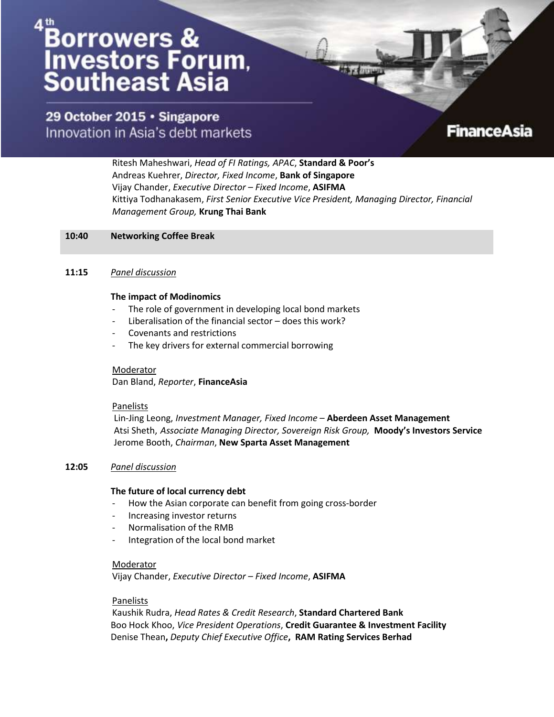29 October 2015 · Singapore Innovation in Asia's debt markets

**FinanceAsia** 

Ritesh Maheshwari, *Head of FI Ratings, APAC*, **Standard & Poor's** Andreas Kuehrer, *Director, Fixed Income*, **Bank of Singapore** Vijay Chander, *Executive Director – Fixed Income*, **ASIFMA** Kittiya Todhanakasem, *First Senior Executive Vice President, Managing Director, Financial Management Group,* **Krung Thai Bank**

#### **10:40 Networking Coffee Break**

#### **11:15** *Panel discussion*

#### **The impact of Modinomics**

- The role of government in developing local bond markets
- Liberalisation of the financial sector does this work?
- Covenants and restrictions
- The key drivers for external commercial borrowing

#### Moderator

Dan Bland, *Reporter*, **FinanceAsia**

#### **Panelists**

Lin-Jing Leong, *Investment Manager, Fixed Income* – **Aberdeen Asset Management** Atsi Sheth, *Associate Managing Director, Sovereign Risk Group,* **Moody's Investors Service** Jerome Booth, *Chairman*, **New Sparta Asset Management**

#### **12:05** *Panel discussion*

#### **The future of local currency debt**

- How the Asian corporate can benefit from going cross-border
- Increasing investor returns
- Normalisation of the RMB
- Integration of the local bond market

#### Moderator

Vijay Chander, *Executive Director – Fixed Income*, **ASIFMA**

#### Panelists

Kaushik Rudra, *Head Rates & Credit Research*, **Standard Chartered Bank** Boo Hock Khoo, *Vice President Operations*, **Credit Guarantee & Investment Facility** Denise Thean**,** *Deputy Chief Executive Office***, RAM Rating Services Berhad**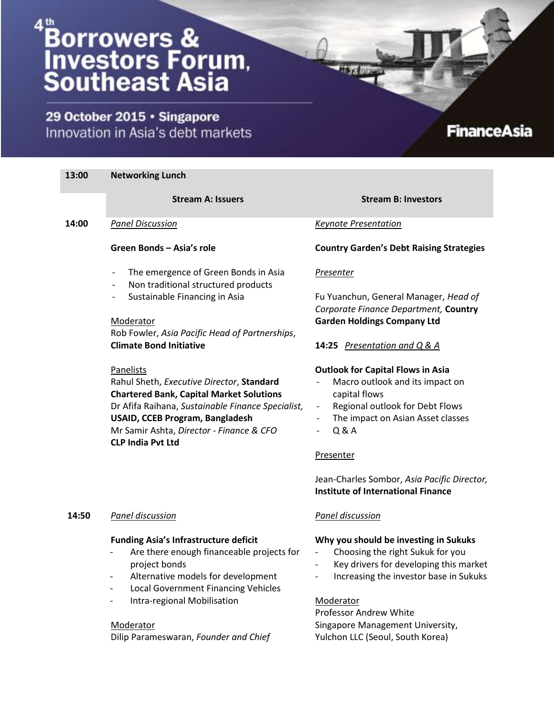29 October 2015 · Singapore Innovation in Asia's debt markets

#### **13:00 Networking Lunch Stream A: Issuers Stream B: Investors 14:00** *Panel Discussion* **Green Bonds – Asia's role**  The emergence of Green Bonds in Asia Non traditional structured products Sustainable Financing in Asia Moderator Rob Fowler, *Asia Pacific Head of Partnerships*, **Climate Bond Initiative** Panelists Rahul Sheth, *Executive Director*, **Standard Chartered Bank, Capital Market Solutions** Dr Afifa Raihana, *Sustainable Finance Specialist,* **USAID, CCEB Program, Bangladesh** Mr Samir Ashta, *Director - Finance & CFO* **CLP India Pvt Ltd** *Keynote Presentation* **Country Garden's Debt Raising Strategies** *Presenter* Fu Yuanchun, General Manager, *Head of Corporate Finance Department,* **Country Garden Holdings Company Ltd 14:25** *Presentation and Q & A* **Outlook for Capital Flows in Asia** Macro outlook and its impact on capital flows Regional outlook for Debt Flows The impact on Asian Asset classes - Q & A Presenter Jean-Charles Sombor, *Asia Pacific Director,*

### **14:50** *Panel discussion*

#### **Funding Asia's Infrastructure deficit**

- Are there enough financeable projects for project bonds
- Alternative models for development
- Local Government Financing Vehicles
- Intra-regional Mobilisation

### Moderator

Dilip Parameswaran, *Founder and Chief* 

**Institute of International Finance**

**FinanceAsia** 

### *Panel discussion*

### **Why you should be investing in Sukuks**

- Choosing the right Sukuk for you
- Key drivers for developing this market
- Increasing the investor base in Sukuks

Moderator

Professor Andrew White Singapore Management University, Yulchon LLC (Seoul, South Korea)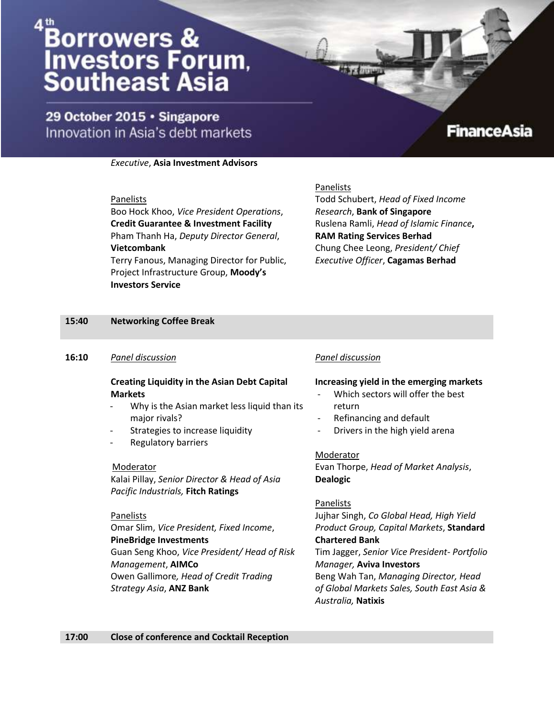29 October 2015 · Singapore Innovation in Asia's debt markets

### **FinanceAsia**

#### *Executive*, **Asia Investment Advisors**

#### Panelists

Boo Hock Khoo, *Vice President Operations*, **Credit Guarantee & Investment Facility** Pham Thanh Ha, *Deputy Director General*, **Vietcombank** Terry Fanous, Managing Director for Public,

Project Infrastructure Group, **Moody's Investors Service**

#### Panelists

Todd Schubert, *Head of Fixed Income Research*, **Bank of Singapore** Ruslena Ramli, *Head of Islamic Finance***, RAM Rating Services Berhad** Chung Chee Leong, *President/ Chief Executive Officer*, **Cagamas Berhad** 

#### **15:40 Networking Coffee Break**

#### **16:10** *Panel discussion*

### **Creating Liquidity in the Asian Debt Capital Markets**

- Why is the Asian market less liquid than its major rivals?
- Strategies to increase liquidity
- Regulatory barriers

#### Moderator

Kalai Pillay, *Senior Director & Head of Asia Pacific Industrials,* **Fitch Ratings**

#### Panelists

Omar Slim, *Vice President, Fixed Income*, **PineBridge Investments** Guan Seng Khoo, *Vice President/ Head of Risk Management*, **AIMCo** Owen Gallimore*, Head of Credit Trading Strategy Asia*, **ANZ Bank**

#### *Panel discussion*

#### **Increasing yield in the emerging markets**

- Which sectors will offer the best return
- Refinancing and default
- Drivers in the high yield arena

#### Moderator

Evan Thorpe, *Head of Market Analysis*, **Dealogic**

Panelists

Jujhar Singh, *Co Global Head, High Yield Product Group, Capital Markets*, **Standard Chartered Bank**

Tim Jagger, *Senior Vice President- Portfolio Manager,* **Aviva Investors**

Beng Wah Tan, *Managing Director, Head of Global Markets Sales, South East Asia & Australia,* **Natixis**